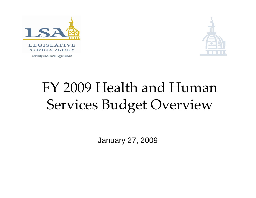



Serving the Iowa Legislature

# FY 2009 Health and Human Services Budget Overview

January 27, 2009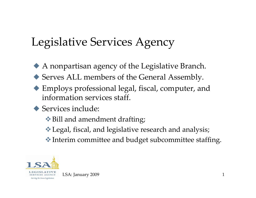# Legislative Services Agency

- X A nonpartisan agency of the Legislative Branch.
- ◆ Serves ALL members of the General Assembly.
- X Employs professional legal, fiscal, computer, and information services staff.
- $\blacklozenge$  Services include:
	- ◆ Bill and amendment drafting;
	- Legal, fiscal, and legislative research and analysis;
	- Interim committee and budget subcommittee staffing.



LSA: January 2009 1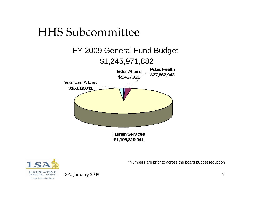### HHS Subcommittee





\*Numbers are prior to across the board budget reduction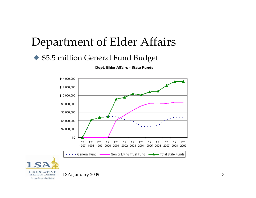### Department of Elder Affairs

### ◆ \$5.5 million General Fund Budget

Dept. Elder Affairs - State Funds



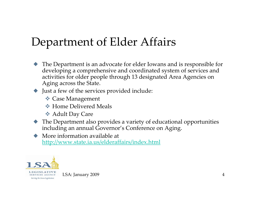# Department of Elder Affairs

 $\blacklozenge$  The Department is an advocate for elder Iowans and is responsible for developing <sup>a</sup> comprehensive and coordinated system of services and activities for older people through 13 designated Area Agencies on Aging across the State.

#### $\blacktriangleright$  Just a few of the services provided include:

- Case Management
- **★ Home Delivered Meals**
- Adult Day Care
- $\blacklozenge$  The Department also provides a variety of educational opportunities including an annual Governor's Conference on Aging.
- $\blacklozenge$  More information available at <http://www.state.ia.us/elderaffairs/index.html>



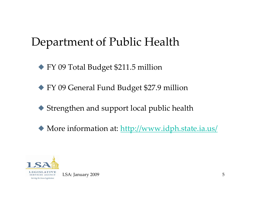◆ FY 09 Total Budget \$211.5 million

◆ FY 09 General Fund Budget \$27.9 million

◆ Strengthen and support local public health

◆ More information at: <http://www.idph.state.ia.us/>

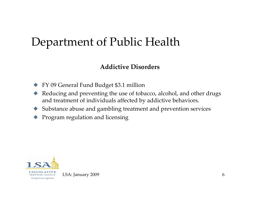#### **Addictive Disorders**

- $\blacklozenge$ FY 09 General Fund Budget \$3.1 million
- $\blacklozenge$  Reducing and preventing the use of tobacco, alcohol, and other drugs and treatment of individuals affected by addictive behaviors.
- $\blacklozenge$ Substance abuse and gambling treatment and prevention services
- $\blacklozenge$ Program regulation and licensing



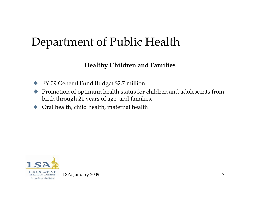#### **Healthy Children and Families**

- $\blacklozenge$ FY 09 General Fund Budget \$2.7 million
- $\blacklozenge$  Promotion of optimum health status for children and adolescents from birth through <sup>21</sup> years of age, and families.
- $\blacklozenge$ Oral health, child health, maternal health



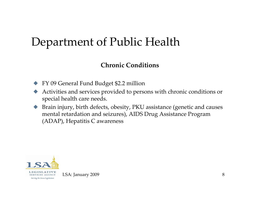#### **Chronic Conditions**

- X FY 09 General Fund Budget \$2.2 million
- $\blacklozenge$  Activities and services provided to persons with chronic conditions or special health care needs.
- $\blacklozenge$  Brain injury, birth defects, obesity, PKU assistance (genetic and causes mental retardation and seizures), AIDS Drug Assistance Program (ADAP), Hepatitis C awareness



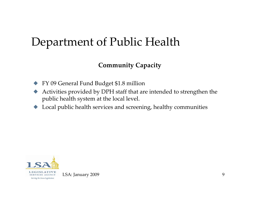### **Community Capacity**

- $\blacklozenge$ FY 09 General Fund Budget \$1.8 million
- $\blacklozenge$  Activities provided by DPH staff that are intended to strengthen the public health system at the local level.
- $\blacklozenge$ Local public health services and screening, healthy communities



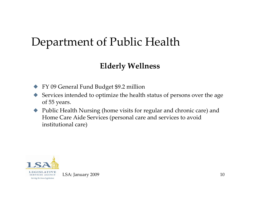### **Elderly Wellness**

- $\blacklozenge$ FY 09 General Fund Budget \$9.2 million
- $\blacklozenge$  Services intended to optimize the health status of persons over the age of <sup>55</sup> years.
- $\blacklozenge$  Public Health Nursing (home visits for regular and chronic care) and Home Care Aide Services (personal care and services to avoid institutional care)



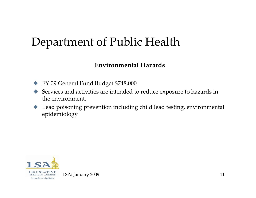#### **Environmental Hazards**

- X FY 09 General Fund Budget \$748,000
- $\blacklozenge$  Services and activities are intended to reduce exposure to hazards in the environment.
- $\blacklozenge$  Lead poisoning prevention including child lead testing, environmental epidemiology



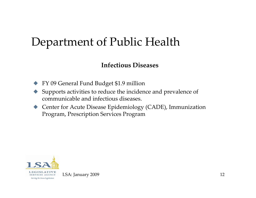#### **Infectious Diseases**

- $\blacklozenge$ FY 09 General Fund Budget \$1.9 million
- $\blacklozenge$  Supports activities to reduce the incidence and prevalence of communicable and infectious diseases.
- ◆ Center for Acute Disease Epidemiology (CADE), Immunization Program, Prescription Services Program



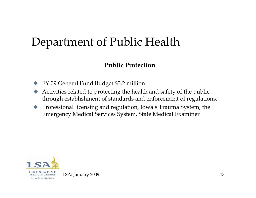#### **Public Protection**

- $\blacklozenge$ FY 09 General Fund Budget \$3.2 million
- $\blacklozenge$  Activities related to protecting the health and safety of the public through establishment of standards and enforcement of regulations.
- $\blacklozenge$  Professional licensing and regulation, Iowa's Trauma System, the Emergency Medical Services System, State Medical Examiner



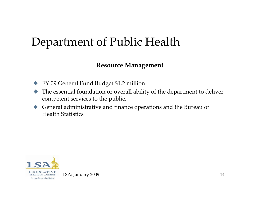#### **Resource Management**

- X FY 09 General Fund Budget \$1.2 million
- $\blacklozenge$  The essential foundation or overall ability of the department to deliver competent services to the public.
- $\blacklozenge$  General administrative and finance operations and the Bureau of Health Statistics



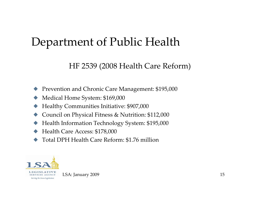### HF 2539 (2008 Health Care Reform)

- $\blacklozenge$ Prevention and Chronic Care Management: \$195,000
- $\blacklozenge$ Medical Home System: \$169,000
- $\blacklozenge$ Healthy Communities Initiative: \$907,000
- $\blacklozenge$ Council on Physical Fitness & Nutrition: \$112,000
- $\blacklozenge$ Health Information Technology System: \$195,000
- $\blacklozenge$ Health Care Access: \$178,000
- $\blacklozenge$ ◆ Total DPH Health Care Reform: \$1.76 million



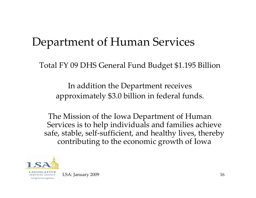Total FY 09 DHS General Fund Budget \$1.195 Billion

In addition the Department receives approximately \$3.0 billion in federal funds.

The Mission of the Iowa Department of Human Services is to help individuals and families achieve safe, stable, self-sufficient, and healthy lives, thereby contributing to the economic growth of Iowa

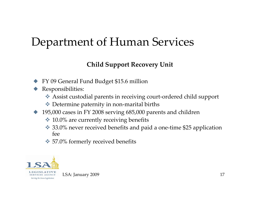### **Child Support Recovery Unit**

- $\blacklozenge$ FY 09 General Fund Budget \$15.6 million
- $\blacklozenge$  Responsibilities:
	- Assist custodial parents in receiving court‐ordered child suppor<sup>t</sup>
	- ◆ Determine paternity in non-marital births
- $\blacklozenge$  195,000 cases in FY 2008 serving 685,000 parents and children
	- $\cdot$  10.0% are currently receiving benefits
	- ◆ 33.0% never received benefits and paid a one-time \$25 application fee
	- **◆ 57.0% formerly received benefits**

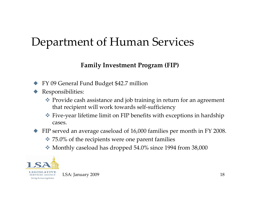#### **Family Investment Program (FIP)**

- ◆ FY 09 General Fund Budget \$42.7 million
- $\blacklozenge$  Responsibilities:
	- Provide cash assistance and job training in return for an agreemen<sup>t</sup> that recipient will work towards self‐sufficiency
	- Five‐year lifetime limit on FIP benefits with exceptions in hardship cases.
- $\blacklozenge$  FIP served an average caseload of 16,000 families per month in FY 2008.
	- $\div$  **75.0% of the recipients were one parent families**
	- Monthly caseload has dropped 54.0% since 1994 from 38,000

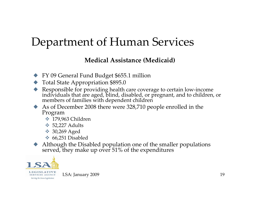#### **Medical Assistance (Medicaid)**

- X FY 09 General Fund Budget \$655.1 million
- $\blacklozenge$  Total State Appropriation \$895.0
- ◆ Responsible for providing health care coverage to certain low-income individuals that are aged, blind, disabled, or pregnant, and to children individuals that are aged, blind, disabled, or pregnant, and to children, or<br>members of families with dependent children
- X As of December <sup>2008</sup> there were 328,710 people enrolled in the Program
	- **→ 179,963 Children**
	- $\div$  52,227 Adults
	- **◆ 30,269 Aged**
	- $\div 66,251$  Disabled
- X Although the Disabled population one of the smaller populations served, they make up over 51% of the expenditures

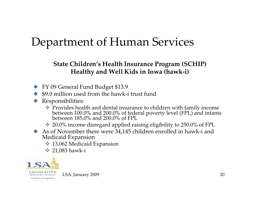#### **State Children's Health Insurance Program (SCHIP) Healthy and Well Kids in Iowa (hawk‐i)**

- X FY 09 General Fund Budget \$13.9
- ◆ \$9.0 million used from the hawk-i trust fund
- Responsibilities:
	- Provides health and dental insurance to children with family income<br>between  $100.0\%$  and  $200.0\%$  of federal poverty level (FPL) and infant between 100.0% and 200.0% of federal poverty level (FPL) and infants<br>between 185.0% and 200.0% of FPL 185.0% and 200.0% of FPL
	- 20.0% income disregard applied raising eligibility to 250.0% of FPL
- ◆ As of November there were 34,145 children enrolled in hawk-i and Medicaid Expansion
	- **◆ 13,062 Medicaid Expansion**
	- **→ 21,083 hawk-i**

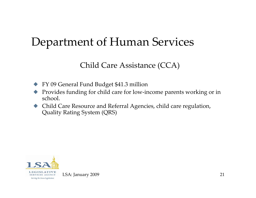### Child Care Assistance (CCA)

- X FY 09 General Fund Budget \$41.3 million
- $\blacklozenge$  Provides funding for child care for low‐income parents working or in school.
- X Child Care Resource and Referral Agencies, child care regulation, Quality Rating System (QRS)



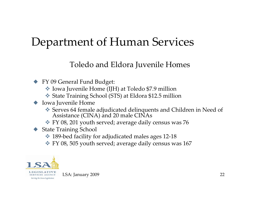### Toledo and Eldora Juvenile Homes

- ◆ FY 09 General Fund Budget:
	- Iowa Juvenile Home (IJH) at Toledo \$7.9 million
	- State Training School (STS) at Eldora \$12.5 million
- $\blacklozenge$  Iowa Juvenile Home
	- Serves <sup>64</sup> female adjudicated delinquents and Children in Need of Assistance (CINA) and <sup>20</sup> male CINAs
	- FY 08, 201 youth served; average daily census was 76
- ◆ State Training School
	- 189‐bed facility for adjudicated males ages <sup>12</sup>‐18
	- FY 08, 505 youth served; average daily census was 167

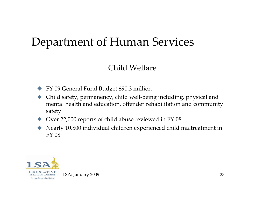### Child Welfare

- X FY 09 General Fund Budget \$90.3 million
- $\blacklozenge$  Child safety, permanency, child well‐being including, physical and mental health and education, offender rehabilitation and community safety
- ◆ Over 22,000 reports of child abuse reviewed in FY 08
- $\blacklozenge$  Nearly 10,800 individual children experienced child maltreatment in FY 08



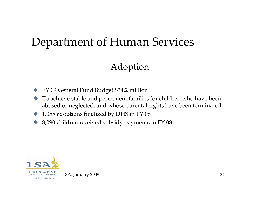### Adoption

- $\blacklozenge$ FY 09 General Fund Budget \$34.2 million
- $\blacklozenge$  To achieve stable and permanen<sup>t</sup> families for children who have been abused or neglected, and whose parental rights have been terminated.
- $\blacklozenge$ 1,055 adoptions finalized by DHS in FY 08
- $\blacklozenge$ 8,090 children received subsidy payments in FY 08



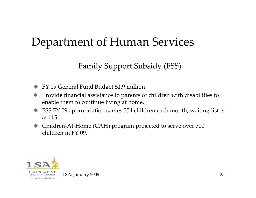### Family Support Subsidy (FSS)

- $\blacklozenge$ FY 09 General Fund Budget \$1.9 million
- $\blacklozenge$  Provide financial assistance to parents of children with disabilities to enable them to continue living at home.
- $\blacktriangleright$  FSS FY 09 appropriation serves 354 children each month; waiting list is at 115.
- ◆ Children-At-Home (CAH) program projected to serve over 700 children in FY 09.

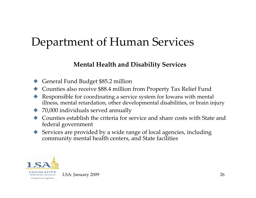#### **Mental Health and Disability Services**

- $\blacklozenge$ General Fund Budget \$85.2 million
- $\blacklozenge$ Counties also receive \$88.4 million from Property Tax Relief Fund
- $\blacklozenge$  Responsible for coordinating <sup>a</sup> service system for Iowans with mental illness, mental retardation, other developmental disabilities, or brain injury
- $\blacklozenge$ 70,000 individuals served annually
- $\blacklozenge$  Counties establish the criteria for service and share costs with State and federal governmen<sup>t</sup>
- $\blacklozenge$  Services are provided by a wide range of local agencies, including community mental health centers, and State facilities



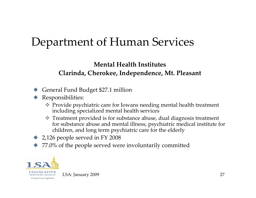### **Mental Health Institutes Clarinda, Cherokee, Independence, Mt. Pleasant**

- $\blacklozenge$ General Fund Budget \$27.1 million
- $\blacklozenge$  Responsibilities:
	- Provide psychiatric care for Iowans needing mental health treatment including specialized mental health services
	- Treatment provided is for substance abuse, dual diagnosis treatment for substance abuse and mental illness, psychiatric medical institute for children, and long term psychiatric care for the elderly
- $\blacktriangleright$  2,126 people served in FY 2008
- $\blacklozenge$ ◆ 77.0% of the people served were involuntarily committed

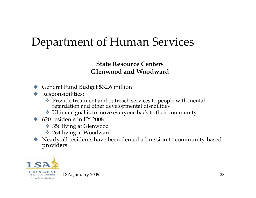#### **State Resource Centers Glenwood and Woodward**

- ◆ General Fund Budget \$32.6 million
- **Responsibilities:** 
	- Provide treatment and outreach services to people with mental retardation and other developmental disabilities
	- Ultimate goal is to move everyone back to their community
- $\leftrightarrow$  620 residents in FY 2008
	- **❖ 356 living at Glenwood**
	- 264 living at Woodward
- ◆ Nearly all residents have been denied admission to community-based providers

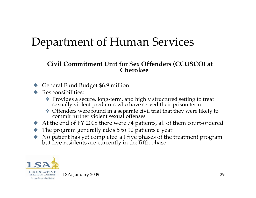#### **Civil Commitment Unit for Sex Offenders (CCUSCO) at Cherokee**

- ◆ General Fund Budget \$6.9 million
- Responsibilities:
	- Provides <sup>a</sup> secure, long‐term, and highly structured setting to treat sexually violent predators who have served their prison term
	- Offenders were found in <sup>a</sup> separate civil trial that they were likely to commit further violent sexual offenses
- ◆ At the end of FY 2008 there were 74 patients, all of them court-ordered
- $\blacklozenge$  The program generally adds 5 to 10 patients a year
- X No patient has ye<sup>t</sup> completed all five <sup>p</sup>hases of the treatment program but five residents are currently in the fifth <sup>p</sup>hase

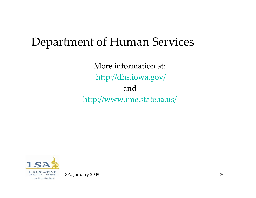More information at: <http://dhs.iowa.gov/> and <http://www.ime.state.ia.us/>



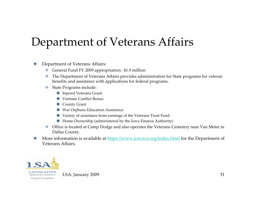# Department of Veterans Affairs

#### $\blacklozenge$ Department of Veterans Affairs:

- ؞ General Fund FY 2009 appropriation: \$1.9 million
- 參 The Department of Veterans Affairs provides administration for State programs for veteran benefits and assistance with applications for federal programs.
- State Programs include:
	- O Injured Veterans Grant
	- OVietnam Conflict Bonus
	- **County Grant**
	- O War Orphans Education Assistance
	- OVariety of assistance from earnings of the Veterans Trust Fund
	- O Home Ownership (administered by the Iowa Finance Authority)
- Office is located at Camp Dodge and also operates the Veterans Cemetery near Van Meter in Dallas County.
- $\blacklozenge$ More information is available at <https://www.iowava.org/index.html> for the Department of Veterans Affairs.

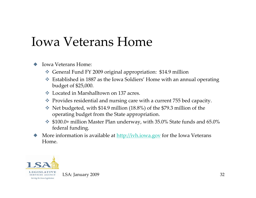# Iowa Veterans Home

#### $\blacklozenge$ Iowa Veterans Home:

- General Fund FY 2009 original appropriation: \$14.9 million
- Established in 1887 as the Iowa Soldiers' Home with an annual operating budget of \$25,000.
- Located in Marshalltown on 137 acres.
- Provides residential and nursing care with <sup>a</sup> current <sup>755</sup> bed capacity.
- Net budgeted, with \$14.9 million (18.8%) of the \$79.3 million of the operating budget from the State appropriation.
- \$100.0+ million Master Plan underway, with 35.0% State funds and 65.0% federal funding.
- $\blacklozenge$ More information is available at <u>[http://ivh.iowa.gov](http://ivh.iowa.gov/)</u> for the Iowa Veterans Home.

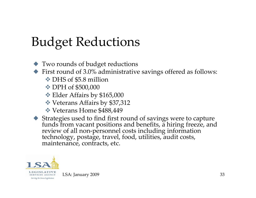# Budget Reductions

- $\blacklozenge$  Two rounds of budget reductions
- $\blacklozenge$  First round of 3.0% administrative savings offered as follows:
	- ◆ DHS of \$5.8 million
	- **☆ DPH of \$500,000**
	- Elder Affairs by \$165,000
	- Veterans Affairs by \$37,312
	- Veterans Home \$488,449
- Strategies used to find first round of savings were to capture<br>funds from vacant positions and benefits, a hiring freeze, and funds from vacant positions and benefits, a hiring freeze, and review of all non-personnel costs including information technology, postage, travel, food, utilities, audit costs, maintenance, contracts, etc.

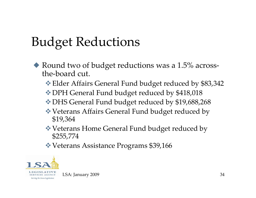# Budget Reductions

- $\blacklozenge$  Round two of budget reductions was a 1.5% acrossthe‐board cut.
	- Elder Affairs General Fund budget reduced by \$83,342
	- DPH General Fund budget reduced by \$418,018
	- DHS General Fund budget reduced by \$19,688,268
	- Veterans Affairs General Fund budget reduced by \$19,364
	- Veterans Home General Fund budget reduced by \$255,774
	- Veterans Assistance Programs \$39,166